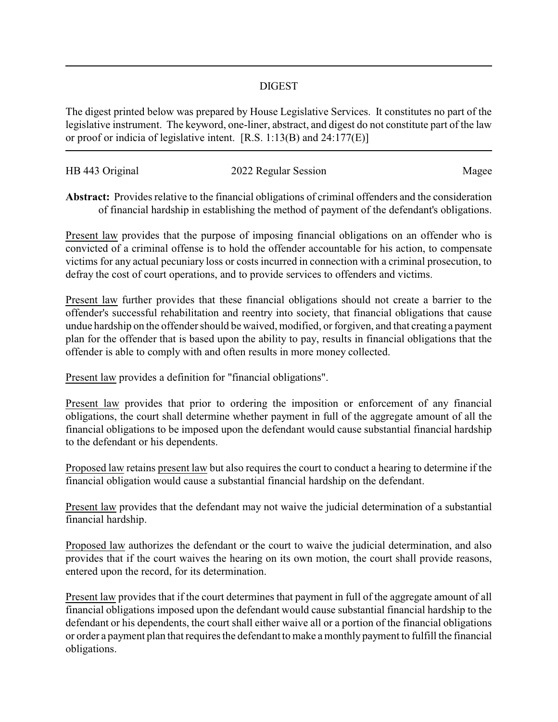## DIGEST

The digest printed below was prepared by House Legislative Services. It constitutes no part of the legislative instrument. The keyword, one-liner, abstract, and digest do not constitute part of the law or proof or indicia of legislative intent. [R.S. 1:13(B) and 24:177(E)]

| HB 443 Original | 2022 Regular Session | Magee |
|-----------------|----------------------|-------|
|                 |                      |       |

**Abstract:** Provides relative to the financial obligations of criminal offenders and the consideration of financial hardship in establishing the method of payment of the defendant's obligations.

Present law provides that the purpose of imposing financial obligations on an offender who is convicted of a criminal offense is to hold the offender accountable for his action, to compensate victims for any actual pecuniary loss or costs incurred in connection with a criminal prosecution, to defray the cost of court operations, and to provide services to offenders and victims.

Present law further provides that these financial obligations should not create a barrier to the offender's successful rehabilitation and reentry into society, that financial obligations that cause undue hardship on the offender should be waived, modified, or forgiven, and that creating a payment plan for the offender that is based upon the ability to pay, results in financial obligations that the offender is able to comply with and often results in more money collected.

Present law provides a definition for "financial obligations".

Present law provides that prior to ordering the imposition or enforcement of any financial obligations, the court shall determine whether payment in full of the aggregate amount of all the financial obligations to be imposed upon the defendant would cause substantial financial hardship to the defendant or his dependents.

Proposed law retains present law but also requires the court to conduct a hearing to determine if the financial obligation would cause a substantial financial hardship on the defendant.

Present law provides that the defendant may not waive the judicial determination of a substantial financial hardship.

Proposed law authorizes the defendant or the court to waive the judicial determination, and also provides that if the court waives the hearing on its own motion, the court shall provide reasons, entered upon the record, for its determination.

Present law provides that if the court determines that payment in full of the aggregate amount of all financial obligations imposed upon the defendant would cause substantial financial hardship to the defendant or his dependents, the court shall either waive all or a portion of the financial obligations or order a payment plan that requires the defendant to make a monthly payment to fulfill the financial obligations.